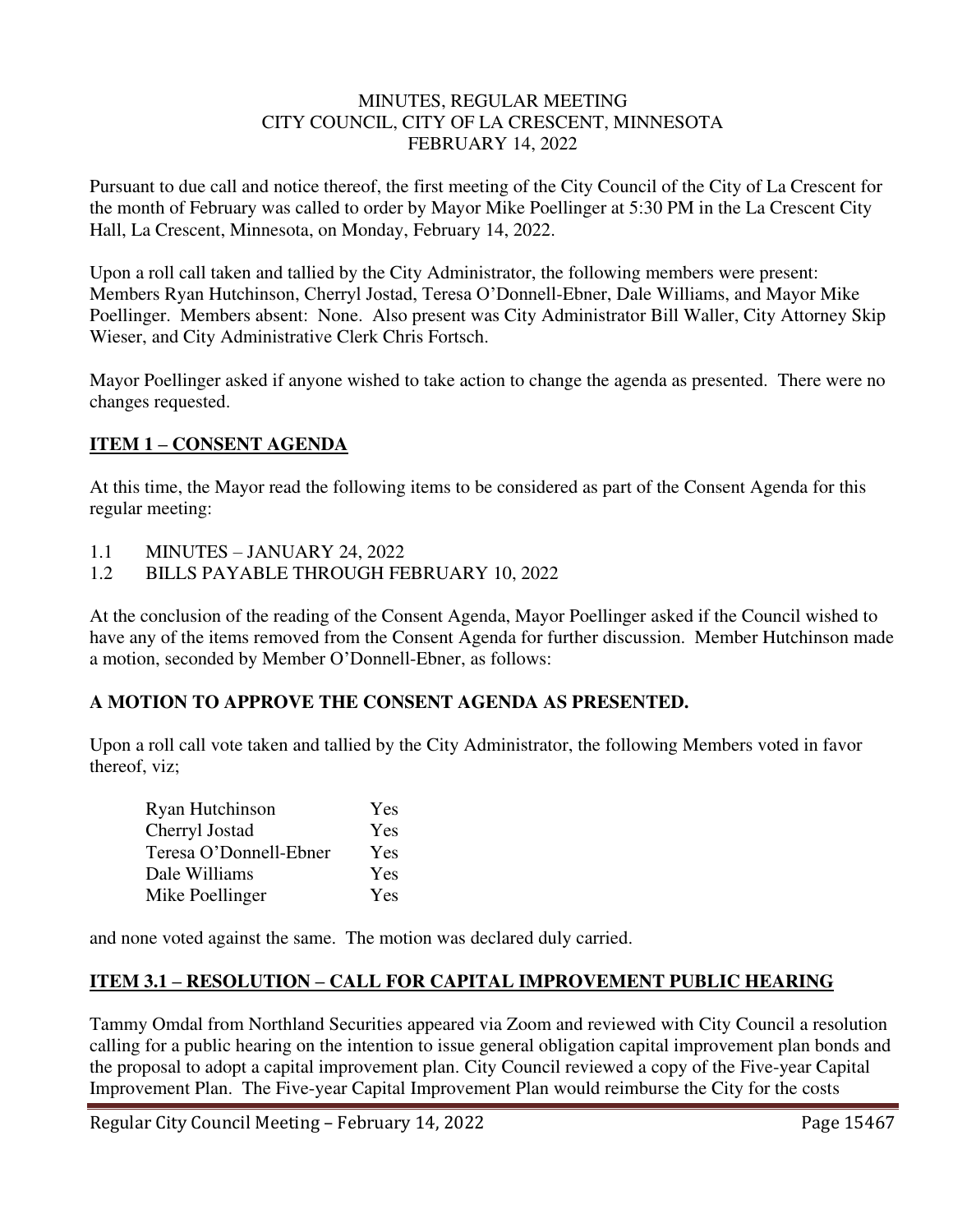#### MINUTES, REGULAR MEETING CITY COUNCIL, CITY OF LA CRESCENT, MINNESOTA FEBRUARY 14, 2022

Pursuant to due call and notice thereof, the first meeting of the City Council of the City of La Crescent for the month of February was called to order by Mayor Mike Poellinger at 5:30 PM in the La Crescent City Hall, La Crescent, Minnesota, on Monday, February 14, 2022.

Upon a roll call taken and tallied by the City Administrator, the following members were present: Members Ryan Hutchinson, Cherryl Jostad, Teresa O'Donnell-Ebner, Dale Williams, and Mayor Mike Poellinger. Members absent: None. Also present was City Administrator Bill Waller, City Attorney Skip Wieser, and City Administrative Clerk Chris Fortsch.

Mayor Poellinger asked if anyone wished to take action to change the agenda as presented. There were no changes requested.

## **ITEM 1 – CONSENT AGENDA**

At this time, the Mayor read the following items to be considered as part of the Consent Agenda for this regular meeting:

- 1.1 MINUTES JANUARY 24, 2022
- 1.2 BILLS PAYABLE THROUGH FEBRUARY 10, 2022

At the conclusion of the reading of the Consent Agenda, Mayor Poellinger asked if the Council wished to have any of the items removed from the Consent Agenda for further discussion. Member Hutchinson made a motion, seconded by Member O'Donnell-Ebner, as follows:

### **A MOTION TO APPROVE THE CONSENT AGENDA AS PRESENTED.**

Upon a roll call vote taken and tallied by the City Administrator, the following Members voted in favor thereof, viz;

| Ryan Hutchinson        | Yes        |
|------------------------|------------|
| Cherryl Jostad         | <b>Yes</b> |
| Teresa O'Donnell-Ebner | Yes        |
| Dale Williams          | <b>Yes</b> |
| Mike Poellinger        | <b>Yes</b> |

and none voted against the same. The motion was declared duly carried.

# **ITEM 3.1 – RESOLUTION – CALL FOR CAPITAL IMPROVEMENT PUBLIC HEARING**

Tammy Omdal from Northland Securities appeared via Zoom and reviewed with City Council a resolution calling for a public hearing on the intention to issue general obligation capital improvement plan bonds and the proposal to adopt a capital improvement plan. City Council reviewed a copy of the Five-year Capital Improvement Plan. The Five-year Capital Improvement Plan would reimburse the City for the costs

Regular City Council Meeting – February 14, 2022 Page 15467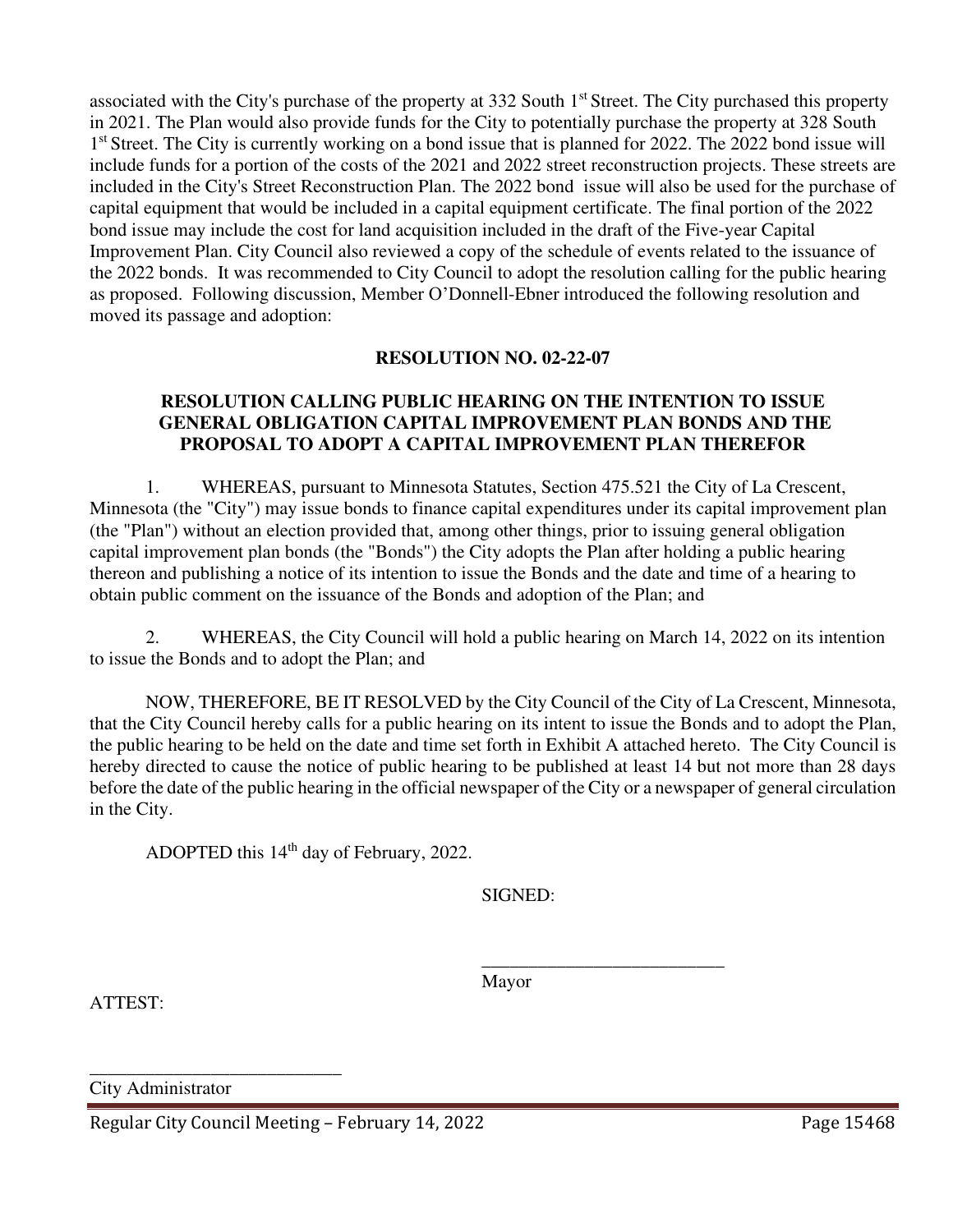associated with the City's purchase of the property at 332 South 1<sup>st</sup> Street. The City purchased this property in 2021. The Plan would also provide funds for the City to potentially purchase the property at 328 South 1<sup>st</sup> Street. The City is currently working on a bond issue that is planned for 2022. The 2022 bond issue will include funds for a portion of the costs of the 2021 and 2022 street reconstruction projects. These streets are included in the City's Street Reconstruction Plan. The 2022 bond issue will also be used for the purchase of capital equipment that would be included in a capital equipment certificate. The final portion of the 2022 bond issue may include the cost for land acquisition included in the draft of the Five-year Capital Improvement Plan. City Council also reviewed a copy of the schedule of events related to the issuance of the 2022 bonds. It was recommended to City Council to adopt the resolution calling for the public hearing as proposed. Following discussion, Member O'Donnell-Ebner introduced the following resolution and moved its passage and adoption:

### **RESOLUTION NO. 02-22-07**

## **RESOLUTION CALLING PUBLIC HEARING ON THE INTENTION TO ISSUE GENERAL OBLIGATION CAPITAL IMPROVEMENT PLAN BONDS AND THE PROPOSAL TO ADOPT A CAPITAL IMPROVEMENT PLAN THEREFOR**

1. WHEREAS, pursuant to Minnesota Statutes, Section 475.521 the City of La Crescent, Minnesota (the "City") may issue bonds to finance capital expenditures under its capital improvement plan (the "Plan") without an election provided that, among other things, prior to issuing general obligation capital improvement plan bonds (the "Bonds") the City adopts the Plan after holding a public hearing thereon and publishing a notice of its intention to issue the Bonds and the date and time of a hearing to obtain public comment on the issuance of the Bonds and adoption of the Plan; and

2. WHEREAS, the City Council will hold a public hearing on March 14, 2022 on its intention to issue the Bonds and to adopt the Plan; and

NOW, THEREFORE, BE IT RESOLVED by the City Council of the City of La Crescent, Minnesota, that the City Council hereby calls for a public hearing on its intent to issue the Bonds and to adopt the Plan, the public hearing to be held on the date and time set forth in Exhibit A attached hereto. The City Council is hereby directed to cause the notice of public hearing to be published at least 14 but not more than 28 days before the date of the public hearing in the official newspaper of the City or a newspaper of general circulation in the City.

ADOPTED this  $14<sup>th</sup>$  day of February, 2022.

SIGNED:

 $\frac{1}{\sqrt{2}}$  ,  $\frac{1}{\sqrt{2}}$  ,  $\frac{1}{\sqrt{2}}$  ,  $\frac{1}{\sqrt{2}}$  ,  $\frac{1}{\sqrt{2}}$  ,  $\frac{1}{\sqrt{2}}$  ,  $\frac{1}{\sqrt{2}}$  ,  $\frac{1}{\sqrt{2}}$  ,  $\frac{1}{\sqrt{2}}$  ,  $\frac{1}{\sqrt{2}}$  ,  $\frac{1}{\sqrt{2}}$  ,  $\frac{1}{\sqrt{2}}$  ,  $\frac{1}{\sqrt{2}}$  ,  $\frac{1}{\sqrt{2}}$  ,  $\frac{1}{\sqrt{2}}$ Mayor

ATTEST:

City Administrator

\_\_\_\_\_\_\_\_\_\_\_\_\_\_\_\_\_\_\_\_\_\_\_\_\_\_\_

Regular City Council Meeting – February 14, 2022 Page 15468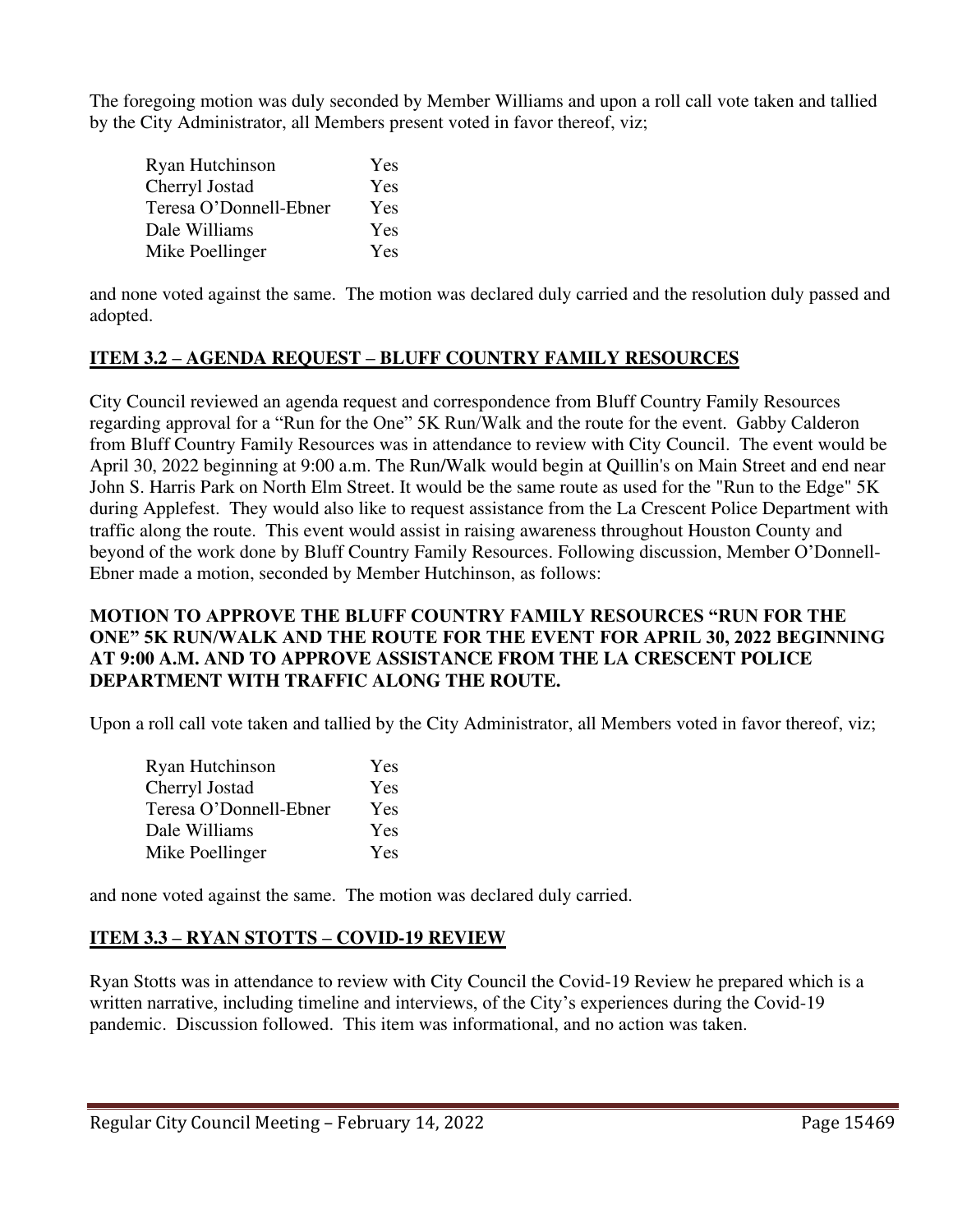The foregoing motion was duly seconded by Member Williams and upon a roll call vote taken and tallied by the City Administrator, all Members present voted in favor thereof, viz;

| Ryan Hutchinson        | Yes        |
|------------------------|------------|
| Cherryl Jostad         | <b>Yes</b> |
| Teresa O'Donnell-Ebner | <b>Yes</b> |
| Dale Williams          | <b>Yes</b> |
| Mike Poellinger        | <b>Yes</b> |

and none voted against the same. The motion was declared duly carried and the resolution duly passed and adopted.

## **ITEM 3.2 – AGENDA REQUEST – BLUFF COUNTRY FAMILY RESOURCES**

City Council reviewed an agenda request and correspondence from Bluff Country Family Resources regarding approval for a "Run for the One" 5K Run/Walk and the route for the event. Gabby Calderon from Bluff Country Family Resources was in attendance to review with City Council. The event would be April 30, 2022 beginning at 9:00 a.m. The Run/Walk would begin at Quillin's on Main Street and end near John S. Harris Park on North Elm Street. It would be the same route as used for the "Run to the Edge" 5K during Applefest. They would also like to request assistance from the La Crescent Police Department with traffic along the route. This event would assist in raising awareness throughout Houston County and beyond of the work done by Bluff Country Family Resources. Following discussion, Member O'Donnell-Ebner made a motion, seconded by Member Hutchinson, as follows:

### **MOTION TO APPROVE THE BLUFF COUNTRY FAMILY RESOURCES "RUN FOR THE ONE" 5K RUN/WALK AND THE ROUTE FOR THE EVENT FOR APRIL 30, 2022 BEGINNING AT 9:00 A.M. AND TO APPROVE ASSISTANCE FROM THE LA CRESCENT POLICE DEPARTMENT WITH TRAFFIC ALONG THE ROUTE.**

Upon a roll call vote taken and tallied by the City Administrator, all Members voted in favor thereof, viz;

| Ryan Hutchinson        | Yes        |
|------------------------|------------|
| Cherryl Jostad         | Yes        |
| Teresa O'Donnell-Ebner | Yes        |
| Dale Williams          | Yes        |
| Mike Poellinger        | <b>Yes</b> |

and none voted against the same. The motion was declared duly carried.

# **ITEM 3.3 – RYAN STOTTS – COVID-19 REVIEW**

Ryan Stotts was in attendance to review with City Council the Covid-19 Review he prepared which is a written narrative, including timeline and interviews, of the City's experiences during the Covid-19 pandemic. Discussion followed. This item was informational, and no action was taken.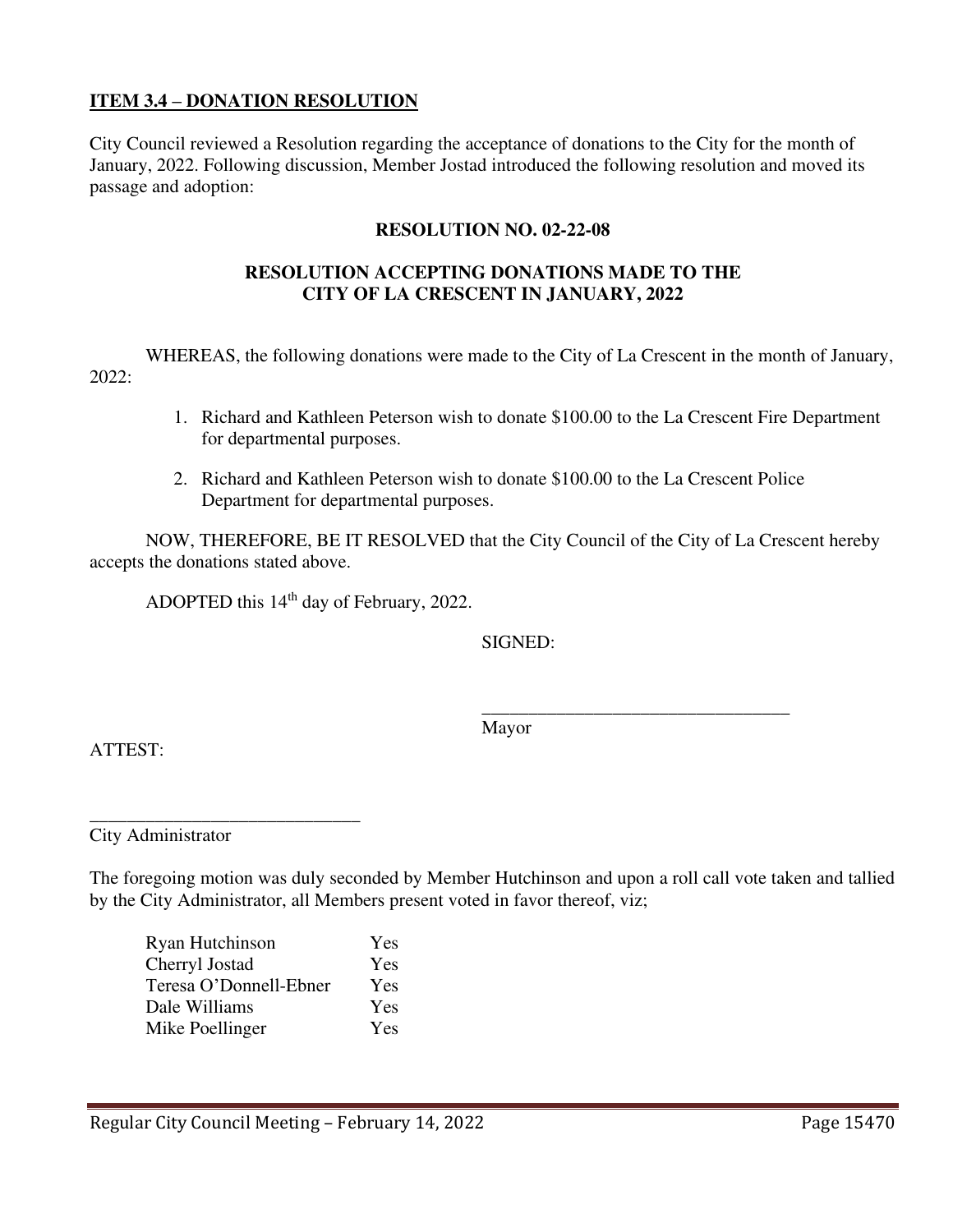### **ITEM 3.4 – DONATION RESOLUTION**

City Council reviewed a Resolution regarding the acceptance of donations to the City for the month of January, 2022. Following discussion, Member Jostad introduced the following resolution and moved its passage and adoption:

#### **RESOLUTION NO. 02-22-08**

### **RESOLUTION ACCEPTING DONATIONS MADE TO THE CITY OF LA CRESCENT IN JANUARY, 2022**

 WHEREAS, the following donations were made to the City of La Crescent in the month of January, 2022:

- 1. Richard and Kathleen Peterson wish to donate \$100.00 to the La Crescent Fire Department for departmental purposes.
- 2. Richard and Kathleen Peterson wish to donate \$100.00 to the La Crescent Police Department for departmental purposes.

 NOW, THEREFORE, BE IT RESOLVED that the City Council of the City of La Crescent hereby accepts the donations stated above.

ADOPTED this 14<sup>th</sup> day of February, 2022.

SIGNED:

 $\overline{\phantom{a}}$  , and the contract of the contract of the contract of the contract of the contract of the contract of the contract of the contract of the contract of the contract of the contract of the contract of the contrac Mayor

ATTEST:

\_\_\_\_\_\_\_\_\_\_\_\_\_\_\_\_\_\_\_\_\_\_\_\_\_\_\_\_\_ City Administrator

The foregoing motion was duly seconded by Member Hutchinson and upon a roll call vote taken and tallied by the City Administrator, all Members present voted in favor thereof, viz;

Ryan Hutchinson Yes Cherryl Jostad Yes Teresa O'Donnell-Ebner Yes Dale Williams Yes Mike Poellinger Yes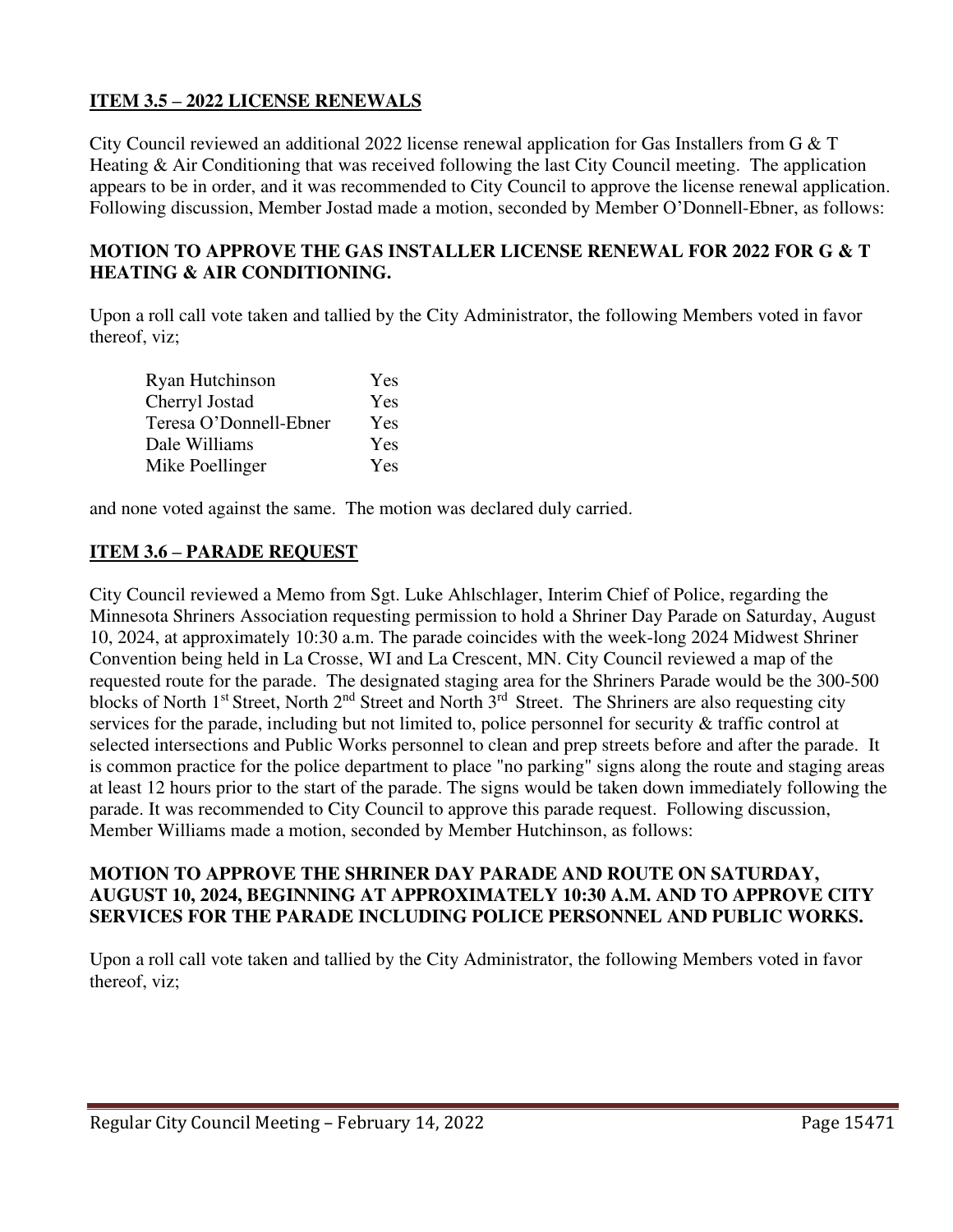### **ITEM 3.5 – 2022 LICENSE RENEWALS**

City Council reviewed an additional 2022 license renewal application for Gas Installers from G & T Heating & Air Conditioning that was received following the last City Council meeting. The application appears to be in order, and it was recommended to City Council to approve the license renewal application. Following discussion, Member Jostad made a motion, seconded by Member O'Donnell-Ebner, as follows:

### **MOTION TO APPROVE THE GAS INSTALLER LICENSE RENEWAL FOR 2022 FOR G & T HEATING & AIR CONDITIONING.**

Upon a roll call vote taken and tallied by the City Administrator, the following Members voted in favor thereof, viz;

| Ryan Hutchinson        | Yes        |
|------------------------|------------|
| Cherryl Jostad         | Yes        |
| Teresa O'Donnell-Ebner | <b>Yes</b> |
| Dale Williams          | Yes        |
| Mike Poellinger        | Yes        |

and none voted against the same. The motion was declared duly carried.

## **ITEM 3.6 – PARADE REQUEST**

City Council reviewed a Memo from Sgt. Luke Ahlschlager, Interim Chief of Police, regarding the Minnesota Shriners Association requesting permission to hold a Shriner Day Parade on Saturday, August 10, 2024, at approximately 10:30 a.m. The parade coincides with the week-long 2024 Midwest Shriner Convention being held in La Crosse, WI and La Crescent, MN. City Council reviewed a map of the requested route for the parade. The designated staging area for the Shriners Parade would be the 300-500 blocks of North 1<sup>st</sup> Street, North 2<sup>nd</sup> Street and North 3<sup>rd</sup> Street. The Shriners are also requesting city services for the parade, including but not limited to, police personnel for security & traffic control at selected intersections and Public Works personnel to clean and prep streets before and after the parade. It is common practice for the police department to place "no parking" signs along the route and staging areas at least 12 hours prior to the start of the parade. The signs would be taken down immediately following the parade. It was recommended to City Council to approve this parade request. Following discussion, Member Williams made a motion, seconded by Member Hutchinson, as follows:

### **MOTION TO APPROVE THE SHRINER DAY PARADE AND ROUTE ON SATURDAY, AUGUST 10, 2024, BEGINNING AT APPROXIMATELY 10:30 A.M. AND TO APPROVE CITY SERVICES FOR THE PARADE INCLUDING POLICE PERSONNEL AND PUBLIC WORKS.**

Upon a roll call vote taken and tallied by the City Administrator, the following Members voted in favor thereof, viz;